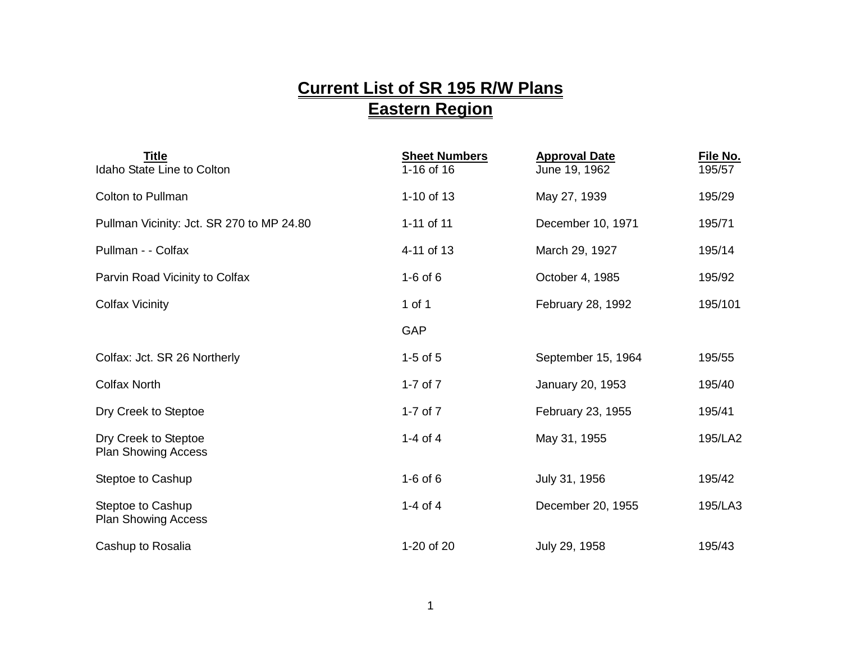## **Current List of SR 195 R/W Plans Eastern Region**

| <b>Title</b><br>Idaho State Line to Colton         | <b>Sheet Numbers</b><br>1-16 of 16 | <b>Approval Date</b><br>June 19, 1962 | File No.<br>195/57 |
|----------------------------------------------------|------------------------------------|---------------------------------------|--------------------|
| Colton to Pullman                                  | 1-10 of 13                         | May 27, 1939                          | 195/29             |
| Pullman Vicinity: Jct. SR 270 to MP 24.80          | 1-11 of 11                         | December 10, 1971                     | 195/71             |
| Pullman - - Colfax                                 | 4-11 of 13                         | March 29, 1927                        | 195/14             |
| Parvin Road Vicinity to Colfax                     | $1-6$ of 6                         | October 4, 1985                       | 195/92             |
| <b>Colfax Vicinity</b>                             | 1 of 1                             | February 28, 1992                     | 195/101            |
|                                                    | GAP                                |                                       |                    |
| Colfax: Jct. SR 26 Northerly                       | $1-5$ of $5$                       | September 15, 1964                    | 195/55             |
| <b>Colfax North</b>                                | 1-7 of $7$                         | January 20, 1953                      | 195/40             |
| Dry Creek to Steptoe                               | 1-7 of $7$                         | February 23, 1955                     | 195/41             |
| Dry Creek to Steptoe<br><b>Plan Showing Access</b> | 1-4 of 4                           | May 31, 1955                          | 195/LA2            |
| Steptoe to Cashup                                  | $1-6$ of $6$                       | July 31, 1956                         | 195/42             |
| Steptoe to Cashup<br><b>Plan Showing Access</b>    | 1-4 of 4                           | December 20, 1955                     | 195/LA3            |
| Cashup to Rosalia                                  | 1-20 of 20                         | July 29, 1958                         | 195/43             |